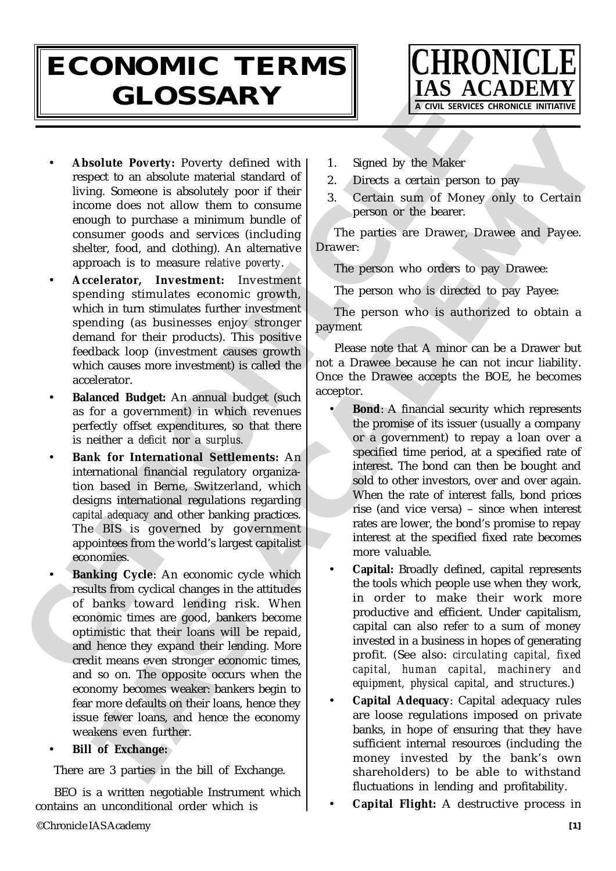## **ECONOMIC TERMS GLOSSARY**



- **Absolute Poverty:** Poverty defined with respect to an absolute material standard of living. Someone is absolutely poor if their income does not allow them to consume enough to purchase a minimum bundle of consumer goods and services (including shelter, food, and clothing). An alternative approach is to measure *relative poverty*.
- CHRONICLE • **Accelerator, Investment:** Investment spending stimulates economic growth, which in turn stimulates further investment spending (as businesses enjoy stronger demand for their products). This positive feedback loop (investment causes growth which causes more investment) is called the accelerator.
	- **Balanced Budget:** An annual budget (such as for a government) in which revenues perfectly offset expenditures, so that there is neither a *deficit* nor a *surplus.*
	- **Bank for International Settlements:** An international financial regulatory organization based in Berne, Switzerland, which designs international regulations regarding *capital adequacy* and other banking practices. The BIS is governed by government appointees from the world's largest capitalist economies.
	- **Banking Cycle**: An economic cycle which results from cyclical changes in the attitudes of banks toward lending risk. When economic times are good, bankers become optimistic that their loans will be repaid, and hence they expand their lending. More credit means even stronger economic times, and so on. The opposite occurs when the economy becomes weaker: bankers begin to fear more defaults on their loans, hence they issue fewer loans, and hence the economy weakens even further.
	- **Bill of Exchange:**

There are 3 parties in the bill of Exchange.

BEO is a written negotiable Instrument which contains an unconditional order which is

- 1. Signed by the Maker
- 2. Directs a certain person to pay
- 3. Certain sum of Money only to Certain person or the bearer.

The parties are Drawer, Drawee and Payee. Drawer:

The person who orders to pay Drawee:

The person who is directed to pay Payee:

The person who is authorized to obtain a payment

Please note that A minor can be a Drawer but not a Drawee because he can not incur liability. Once the Drawee accepts the BOE, he becomes acceptor.

- Solute Powerty: Proverty defined with 1. Signed by the Maker<br>
sect to an absolute material standard of 2. Durchs a core in absolute material standard of 2. Durchs a core in a core in a core in the Money sink to Certain<br>
su **Bond:** A financial security which represents the promise of its issuer (usually a company or a government) to repay a loan over a specified time period, at a specified rate of interest. The bond can then be bought and sold to other investors, over and over again. When the rate of interest falls, bond prices rise (and vice versa) – since when interest rates are lower, the bond's promise to repay interest at the specified fixed rate becomes more valuable.
	- **Capital:** Broadly defined, capital represents the tools which people use when they work, in order to make their work more productive and efficient. Under capitalism, capital can also refer to a sum of money invested in a business in hopes of generating profit. (See also: *circulating capital, fixed capital, human capital, machinery and equipment, physical capital*, and *structures*.)
	- **Capital Adequacy**: Capital adequacy rules are loose regulations imposed on private banks, in hope of ensuring that they have sufficient internal resources (including the money invested by the bank's own shareholders) to be able to withstand fluctuations in lending and profitability.
	- **Capital Flight:** A destructive process in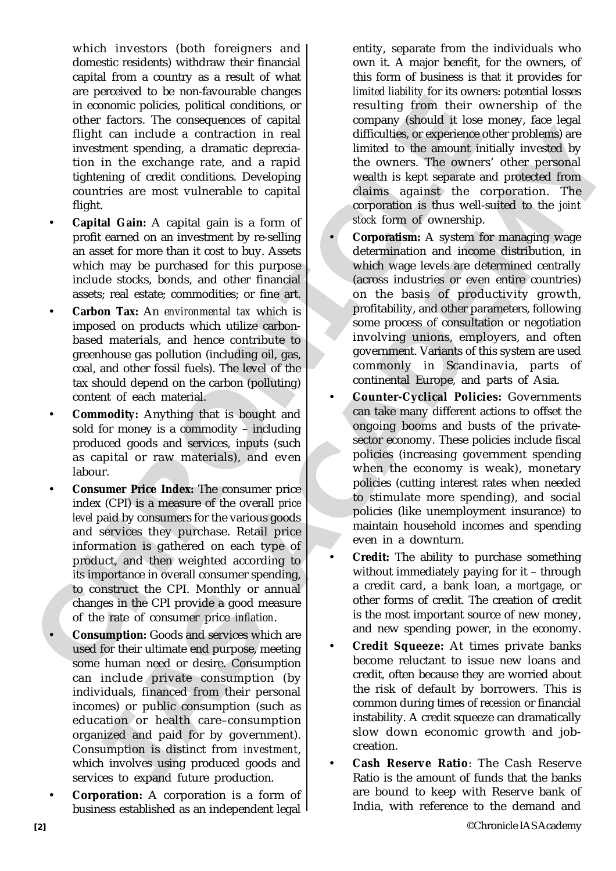which investors (both foreigners and domestic residents) withdraw their financial capital from a country as a result of what are perceived to be non-favourable changes in economic policies, political conditions, or other factors. The consequences of capital flight can include a contraction in real investment spending, a dramatic depreciation in the exchange rate, and a rapid tightening of credit conditions. Developing countries are most vulnerable to capital flight.

- **Capital Gain:** A capital gain is a form of profit earned on an investment by re-selling an asset for more than it cost to buy. Assets which may be purchased for this purpose include stocks, bonds, and other financial assets; real estate; commodities; or fine art.
- **Carbon Tax:** An *environmental tax* which is imposed on products which utilize carbonbased materials, and hence contribute to greenhouse gas pollution (including oil, gas, coal, and other fossil fuels). The level of the tax should depend on the carbon (polluting) content of each material.
- **Commodity:** Anything that is bought and sold for money is a commodity – including produced goods and services, inputs (such as capital or raw materials), and even labour.
- in conomic policies, political conditions, or resulting from their other factors. The consequences of capital company (should il ose any information in the consequence of capital in the animal difficulties, or separation • **Consumer Price Index:** The consumer price index (CPI) is a measure of the overall *price level* paid by consumers for the various goods and services they purchase. Retail price information is gathered on each type of product, and then weighted according to its importance in overall consumer spending, to construct the CPI. Monthly or annual changes in the CPI provide a good measure of the rate of consumer price *inflation*.
	- **Consumption:** Goods and services which are used for their ultimate end purpose, meeting some human need or desire. Consumption can include private consumption (by individuals, financed from their personal incomes) or public consumption (such as education or health care–consumption organized and paid for by government). Consumption is distinct from *investment*, which involves using produced goods and services to expand future production.
	- **Corporation:** A corporation is a form of business established as an independent legal

entity, separate from the individuals who own it. A major benefit, for the owners, of this form of business is that it provides for *limited liability* for its owners: potential losses resulting from their ownership of the company (should it lose money, face legal difficulties, or experience other problems) are limited to the amount initially invested by the owners. The owners' other personal wealth is kept separate and protected from claims against the corporation. The corporation is thus well-suited to the *joint stock* form of ownership.

- can include a contraction in real difficulties or specime content in the extange rate, and a could not be a small of the small of the small of the small of the small of the small of the small of the small of the small of • **Corporatism:** A system for managing wage determination and income distribution, in which wage levels are determined centrally (across industries or even entire countries) on the basis of productivity growth, profitability, and other parameters, following some process of consultation or negotiation involving unions, employers, and often government. Variants of this system are used commonly in Scandinavia, parts of continental Europe, and parts of Asia.
	- **Counter-Cyclical Policies:** Governments can take many different actions to offset the ongoing booms and busts of the privatesector economy. These policies include fiscal policies (increasing government spending when the economy is weak), monetary policies (cutting interest rates when needed to stimulate more spending), and social policies (like unemployment insurance) to maintain household incomes and spending even in a downturn.
	- **Credit:** The ability to purchase something without immediately paying for it – through a credit card, a bank loan, a *mortgage*, or other forms of credit. The creation of credit is the most important source of new money, and new spending power, in the economy.
	- **Credit Squeeze:** At times private banks become reluctant to issue new loans and credit, often because they are worried about the risk of default by borrowers. This is common during times of *recession* or financial instability. A credit squeeze can dramatically slow down economic growth and jobcreation.
	- **Cash Reserve Ratio**: The Cash Reserve Ratio is the amount of funds that the banks are bound to keep with Reserve bank of India, with reference to the demand and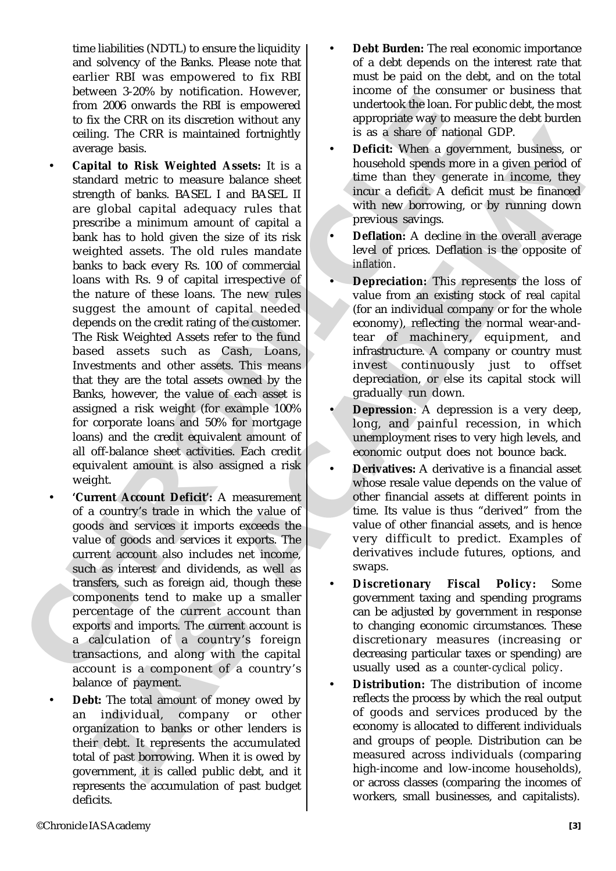time liabilities (NDTL) to ensure the liquidity and solvency of the Banks. Please note that earlier RBI was empowered to fix RBI between 3-20% by notification. However, from 2006 onwards the RBI is empowered to fix the CRR on its discretion without any ceiling. The CRR is maintained fortnightly average basis.

- From 2006 onweats the RBI is emproved undertook the local for the CRR is misioned to the CRR is mision and through the sering the CRR is mision and the case of mision cardinal exceeds be cased to the case that the case of Ing. The CRR is maintained fortnightly<br>
was as shown of mateaa GDP.<br>
Ing. The CRR is maintained fortnightly<br>
yage basis.<br>
Ingela basis. In section a government, bushess, or<br>
ideal on Rick Weightled Assets. It is a loweabo • **Capital to Risk Weighted Assets:** It is a standard metric to measure balance sheet strength of banks. BASEL I and BASEL II are global capital adequacy rules that prescribe a minimum amount of capital a bank has to hold given the size of its risk weighted assets. The old rules mandate banks to back every Rs. 100 of commercial loans with Rs. 9 of capital irrespective of the nature of these loans. The new rules suggest the amount of capital needed depends on the credit rating of the customer. The Risk Weighted Assets refer to the fund based assets such as Cash, Loans, Investments and other assets. This means that they are the total assets owned by the Banks, however, the value of each asset is assigned a risk weight (for example 100% for corporate loans and 50% for mortgage loans) and the credit equivalent amount of all off-balance sheet activities. Each credit equivalent amount is also assigned a risk weight.
	- **'Current Account Deficit':** A measurement of a country's trade in which the value of goods and services it imports exceeds the value of goods and services it exports. The current account also includes net income, such as interest and dividends, as well as transfers, such as foreign aid, though these components tend to make up a smaller percentage of the current account than exports and imports. The current account is a calculation of a country's foreign transactions, and along with the capital account is a component of a country's balance of payment.
	- **Debt:** The total amount of money owed by an individual, company or other organization to banks or other lenders is their debt. It represents the accumulated total of past borrowing. When it is owed by government, it is called public debt, and it represents the accumulation of past budget deficits.
- **Debt Burden:** The real economic importance of a debt depends on the interest rate that must be paid on the debt, and on the total income of the consumer or business that undertook the loan. For public debt, the most appropriate way to measure the debt burden is as a share of national GDP.
- **Deficit:** When a government, business, or household spends more in a given period of time than they generate in income, they incur a deficit. A deficit must be financed with new borrowing, or by running down previous savings.
- **Deflation:** A decline in the overall average level of prices. Deflation is the opposite of *inflation*.
- **Depreciation:** This represents the loss of value from an existing stock of real *capital* (for an individual company or for the whole economy), reflecting the normal wear-andtear of machinery, equipment, and infrastructure. A company or country must invest continuously just to offset depreciation, or else its capital stock will gradually run down.
- **Depression**: A depression is a very deep, long, and painful recession, in which unemployment rises to very high levels, and economic output does not bounce back.
- **Derivatives:** A derivative is a financial asset whose resale value depends on the value of other financial assets at different points in time. Its value is thus "derived" from the value of other financial assets, and is hence very difficult to predict. Examples of derivatives include futures, options, and swaps.
- **Discretionary Fiscal Policy:** Some government taxing and spending programs can be adjusted by government in response to changing economic circumstances. These discretionary measures (increasing or decreasing particular taxes or spending) are usually used as a *counter-cyclical policy*.
- **Distribution:** The distribution of income reflects the process by which the real output of goods and services produced by the economy is allocated to different individuals and groups of people. Distribution can be measured across individuals (comparing high-income and low-income households), or across classes (comparing the incomes of workers, small businesses, and capitalists).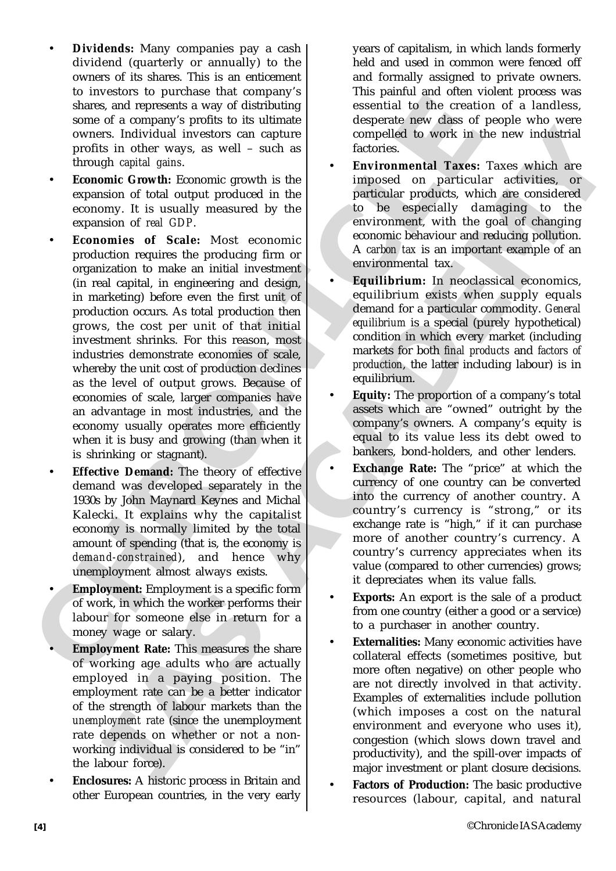- **Dividends:** Many companies pay a cash dividend (quarterly or annually) to the owners of its shares. This is an enticement to investors to purchase that company's shares, and represents a way of distributing some of a company's profits to its ultimate owners. Individual investors can capture profits in other ways, as well – such as through *capital gains*.
- **Economic Growth:** Economic growth is the expansion of total output produced in the economy. It is usually measured by the expansion of *real GDP*.
- charge of a company is point to the simulation of the correct some of a company is point to the simulation of the correct some strength in other values of the simulation of the correct some of a control of the simulation rs. Individual investors can capacity in the compelled by some that is a simple of the prior in the capacity of the measure of the competitive of the competitive of the competitive of the competitive of the competitive of • **Economies of Scale:** Most economic production requires the producing firm or organization to make an initial investment (in real capital, in engineering and design, in marketing) before even the first unit of production occurs. As total production then grows, the cost per unit of that initial investment shrinks. For this reason, most industries demonstrate economies of scale, whereby the unit cost of production declines as the level of output grows. Because of economies of scale, larger companies have an advantage in most industries, and the economy usually operates more efficiently when it is busy and growing (than when it is shrinking or stagnant).
	- **Effective Demand:** The theory of effective demand was developed separately in the 1930s by John Maynard Keynes and Michal Kalecki. It explains why the capitalist economy is normally limited by the total amount of spending (that is, the economy is *demand-constrained*), and hence why unemployment almost always exists.
	- **Employment:** Employment is a specific form of work, in which the worker performs their labour for someone else in return for a money wage or salary.
	- **Employment Rate:** This measures the share of working age adults who are actually employed in a paying position. The employment rate can be a better indicator of the strength of labour markets than the *unemployment rate* (since the unemployment rate depends on whether or not a nonworking individual is considered to be "in" the labour force).
	- **Enclosures:** A historic process in Britain and other European countries, in the very early

years of capitalism, in which lands formerly held and used in common were fenced off and formally assigned to private owners. This painful and often violent process was essential to the creation of a landless, desperate new class of people who were compelled to work in the new industrial factories.

- **Environmental Taxes:** Taxes which are imposed on particular activities, or particular products, which are considered to be especially damaging to the environment, with the goal of changing economic behaviour and reducing pollution. A *carbon tax* is an important example of an environmental tax.
- **Equilibrium:** In neoclassical economics, equilibrium exists when supply equals demand for a particular commodity. *General equilibrium* is a special (purely hypothetical) condition in which every market (including markets for both *final products* and *factors of production*, the latter including labour) is in equilibrium.
- **Equity:** The proportion of a company's total assets which are "owned" outright by the company's owners. A company's equity is equal to its value less its debt owed to bankers, bond-holders, and other lenders.
- **Exchange Rate:** The "price" at which the currency of one country can be converted into the currency of another country. A country's currency is "strong," or its exchange rate is "high," if it can purchase more of another country's currency. A country's currency appreciates when its value (compared to other currencies) grows; it depreciates when its value falls.
- **Exports:** An export is the sale of a product from one country (either a good or a service) to a purchaser in another country.
- **Externalities:** Many economic activities have collateral effects (sometimes positive, but more often negative) on other people who are not directly involved in that activity. Examples of externalities include pollution (which imposes a cost on the natural environment and everyone who uses it), congestion (which slows down travel and productivity), and the spill-over impacts of major investment or plant closure decisions.
- **Factors of Production:** The basic productive resources (labour, capital, and natural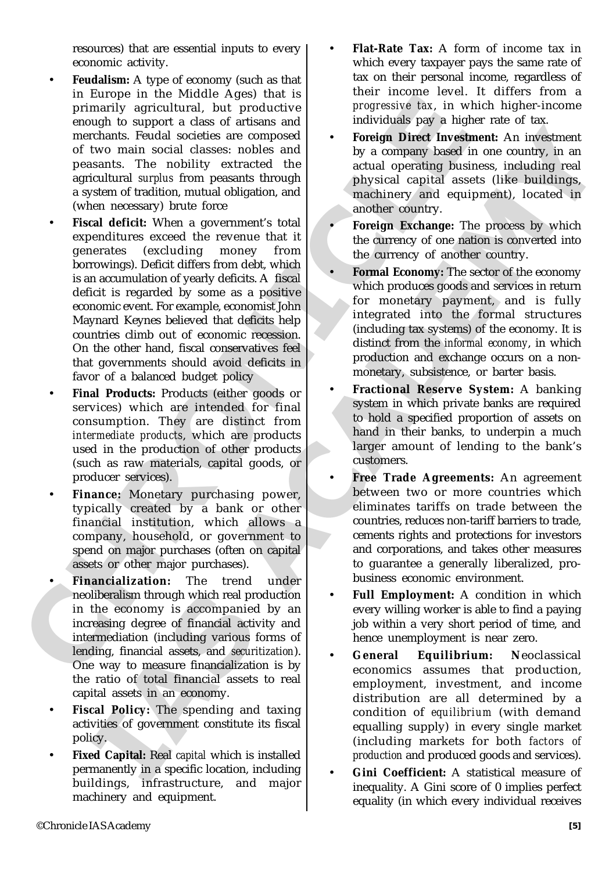resources) that are essential inputs to every economic activity.

- **Feudalism:** A type of economy (such as that in Europe in the Middle Ages) that is primarily agricultural, but productive enough to support a class of artisans and merchants. Feudal societies are composed of two main social classes: nobles and peasants. The nobility extracted the agricultural *surplus* from peasants through a system of tradition, mutual obligation, and (when necessary) brute force
- In traction of solid at solid and the solution of two means and individual and the solution of the means and merchanis. Pendid societies are composed on the semi-strain mechanism of two main social cates of a solution of should be considered and be proposed by a company losed in one countries in an isoted and social state. The nonline states and by a company losed in one country, in an isoted consideration and the country of the nonline p • **Fiscal deficit:** When a government's total expenditures exceed the revenue that it generates (excluding money from borrowings). Deficit differs from debt, which is an accumulation of yearly deficits. A fiscal deficit is regarded by some as a positive economic event. For example, economist John Maynard Keynes believed that deficits help countries climb out of economic recession. On the other hand, fiscal conservatives feel that governments should avoid deficits in favor of a balanced budget policy
	- **Final Products:** Products (either goods or services) which are intended for final consumption. They are distinct from *intermediate products*, which are products used in the production of other products (such as raw materials, capital goods, or producer services).
	- **Finance:** Monetary purchasing power, typically created by a bank or other financial institution, which allows a company, household, or government to spend on major purchases (often on capital assets or other major purchases).
	- **Financialization:** The trend under neoliberalism through which real production in the economy is accompanied by an increasing degree of financial activity and intermediation (including various forms of lending, financial assets, and *securitization*). One way to measure financialization is by the ratio of total financial assets to real capital assets in an economy.
	- **Fiscal Policy:** The spending and taxing activities of government constitute its fiscal policy.
	- **Fixed Capital:** Real *capital* which is installed permanently in a specific location, including buildings, infrastructure, and major machinery and equipment.
- **Flat-Rate Tax:** A form of income tax in which every taxpayer pays the same rate of tax on their personal income, regardless of their income level. It differs from a *progressive tax*, in which higher-income individuals pay a higher rate of tax.
- **Foreign Direct Investment:** An investment by a company based in one country, in an actual operating business, including real physical capital assets (like buildings, machinery and equipment), located in another country.
- **Foreign Exchange:** The process by which the currency of one nation is converted into the currency of another country.
- **Formal Economy:** The sector of the economy which produces goods and services in return for monetary payment, and is fully integrated into the formal structures (including tax systems) of the economy. It is distinct from the *informal economy*, in which production and exchange occurs on a nonmonetary, subsistence, or barter basis.
- **Fractional Reserve System:** A banking system in which private banks are required to hold a specified proportion of assets on hand in their banks, to underpin a much larger amount of lending to the bank's customers.
- **Free Trade Agreements:** An agreement between two or more countries which eliminates tariffs on trade between the countries, reduces non-tariff barriers to trade, cements rights and protections for investors and corporations, and takes other measures to guarantee a generally liberalized, probusiness economic environment.
- **Full Employment:** A condition in which every willing worker is able to find a paying job within a very short period of time, and hence unemployment is near zero.
- **General Equilibrium: N**eoclassical economics assumes that production, employment, investment, and income distribution are all determined by a condition of *equilibrium* (with demand equalling supply) in every single market (including markets for both *factors of production* and produced goods and services).
- **Gini Coefficient:** A statistical measure of inequality. A Gini score of 0 implies perfect equality (in which every individual receives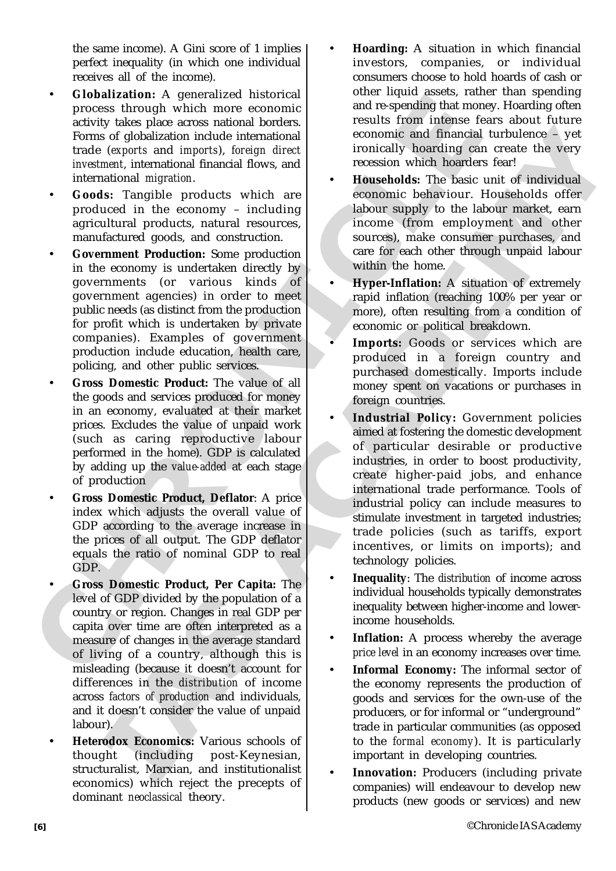the same income). A Gini score of 1 implies perfect inequality (in which one individual receives all of the income).

- **Globalization:** A generalized historical process through which more economic activity takes place across national borders. Forms of globalization include international trade (*exports* and *imports*), *foreign direct investment*, international financial flows, and international *migration*.
- **Goods:** Tangible products which are produced in the economy – including agricultural products, natural resources, manufactured goods, and construction.
- CHOMIZATION: A generalized filstering in the control of the speeding that model three speeds in the speeding that is one inclusion for the speeding of the speeding of the speeding of the speeding of the speeding in the sp • **Government Production:** Some production in the economy is undertaken directly by governments (or various kinds of government agencies) in order to meet public needs (as distinct from the production for profit which is undertaken by private companies). Examples of government production include education, health care, policing, and other public services.
	- **Gross Domestic Product:** The value of all the goods and services produced for money in an economy, evaluated at their market prices. Excludes the value of unpaid work (such as caring reproductive labour performed in the home). GDP is calculated by adding up the *value-added* at each stage of production
	- **Gross Domestic Product, Deflator**: A price index which adjusts the overall value of GDP according to the average increase in the prices of all output. The GDP deflator equals the ratio of nominal GDP to real GDP.
	- **Gross Domestic Product, Per Capita:** The level of GDP divided by the population of a country or region. Changes in real GDP per capita over time are often interpreted as a measure of changes in the average standard of living of a country, although this is misleading (because it doesn't account for differences in the *distribution* of income across *factors of production* and individuals, and it doesn't consider the value of unpaid labour).
	- **Heterodox Economics:** Various schools of thought (including post-Keynesian, structuralist, Marxian, and institutionalist economics) which reject the precepts of dominant *neoclassical* theory.
- **Hoarding:** A situation in which financial investors, companies, or individual consumers choose to hold hoards of cash or other liquid assets, rather than spending and re-spending that money. Hoarding often results from intense fears about future economic and financial turbulence – yet ironically hoarding can create the very recession which hoarders fear!
- **Households:** The basic unit of individual economic behaviour. Households offer labour supply to the labour market, earn income (from employment and other sources), make consumer purchases, and care for each other through unpaid labour within the home.
- **Hyper-Inflation:** A situation of extremely rapid inflation (reaching 100% per year or more), often resulting from a condition of economic or political breakdown.
- Imports: Goods or services which are produced in a foreign country and purchased domestically. Imports include money spent on vacations or purchases in foreign countries.
- Consideration include internalisment includes the same power and financial unbehinder a set of the<br>distance in the same power and inpurise for the same of the same of the<br>same include to the same of the same of the same of • **Industrial Policy:** Government policies aimed at fostering the domestic development of particular desirable or productive industries, in order to boost productivity, create higher-paid jobs, and enhance international trade performance. Tools of industrial policy can include measures to stimulate investment in targeted industries; trade policies (such as tariffs, export incentives, or limits on imports); and technology policies.
	- **Inequality**: The *distribution* of income across individual households typically demonstrates inequality between higher-income and lowerincome households.
	- Inflation: A process whereby the average *price level* in an economy increases over time.
	- **Informal Economy:** The informal sector of the economy represents the production of goods and services for the own-use of the producers, or for informal or "underground" trade in particular communities (as opposed to the *formal economy*). It is particularly important in developing countries.
	- **Innovation:** Producers (including private) companies) will endeavour to develop new products (new goods or services) and new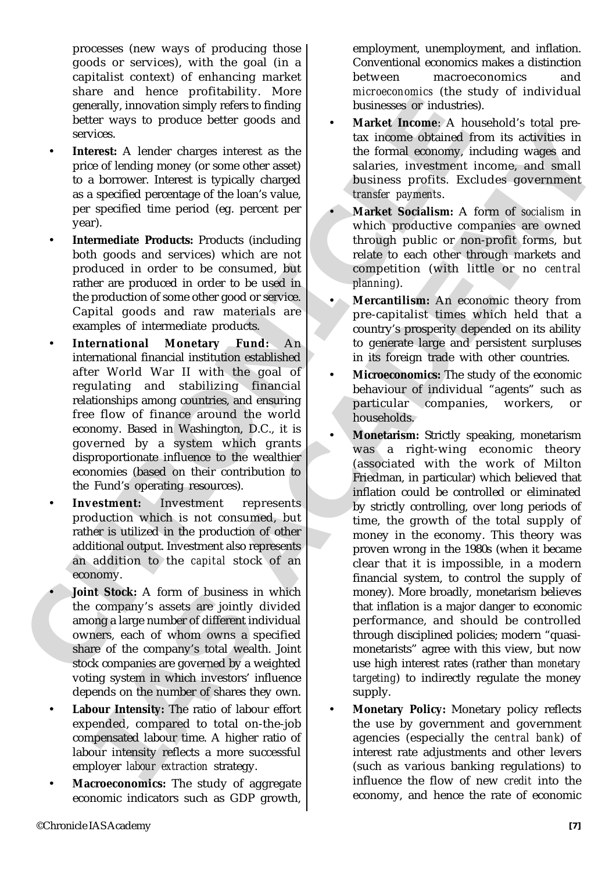processes (new ways of producing those goods or services), with the goal (in a capitalist context) of enhancing market share and hence profitability. More generally, innovation simply refers to finding better ways to produce better goods and services.

- Interest: A lender charges interest as the price of lending money (or some other asset) to a borrower. Interest is typically charged as a specified percentage of the loan's value, per specified time period (eg. percent per year).
- **Intermediate Products:** Products (including both goods and services) which are not produced in order to be consumed, but rather are produced in order to be used in the production of some other good or service. Capital goods and raw materials are examples of intermediate products.
- concernally, innovation simply refers to finding businesses or industries between ways to produce better goods and <br>saving-size of industries between severally, innovation simply refers to finding the<br>services. A lead to • **International Monetary Fund:** An international financial institution established after World War II with the goal of regulating and stabilizing financial relationships among countries, and ensuring free flow of finance around the world economy. Based in Washington, D.C., it is governed by a system which grants disproportionate influence to the wealthier economies (based on their contribution to the Fund's operating resources).
	- Investment: Investment represents production which is not consumed, but rather is utilized in the production of other additional output. Investment also represents an addition to the *capital* stock of an economy.
	- **Joint Stock:** A form of business in which the company's assets are jointly divided among a large number of different individual owners, each of whom owns a specified share of the company's total wealth. Joint stock companies are governed by a weighted voting system in which investors' influence depends on the number of shares they own.
	- **Labour Intensity:** The ratio of labour effort expended, compared to total on-the-job compensated labour time. A higher ratio of labour intensity reflects a more successful employer *labour extraction* strategy.
	- **Macroeconomics:** The study of aggregate economic indicators such as GDP growth,

employment, unemployment, and inflation. Conventional economics makes a distinction between macroeconomics and *microeconomics* (the study of individual businesses or industries).

- **Market Income**: A household's total pretax income obtained from its activities in the formal economy, including wages and salaries, investment income, and small business profits. Excludes government *transfer payments*.
- **Market Socialism:** A form of *socialism* in which productive companies are owned through public or non-profit forms, but relate to each other through markets and competition (with little or no *central planning*).
- **Mercantilism:** An economic theory from pre-capitalist times which held that a country's prosperity depended on its ability to generate large and persistent surpluses in its foreign trade with other countries.
- **Microeconomics:** The study of the economic behaviour of individual "agents" such as particular companies, workers, or households.
- These confires the main of the main of the main of the main of the main of the main of the main of the main of the main of the main of the main of the main of the main of the main of the main of the main of the main of the • **Monetarism:** Strictly speaking, monetarism was a right-wing economic theory (associated with the work of Milton Friedman, in particular) which believed that inflation could be controlled or eliminated by strictly controlling, over long periods of time, the growth of the total supply of money in the economy. This theory was proven wrong in the 1980s (when it became clear that it is impossible, in a modern financial system, to control the supply of money). More broadly, monetarism believes that inflation is a major danger to economic performance, and should be controlled through disciplined policies; modern "quasimonetarists" agree with this view, but now use high interest rates (rather than *monetary targeting*) to indirectly regulate the money supply.
	- **Monetary Policy:** Monetary policy reflects the use by government and government agencies (especially the *central bank*) of interest rate adjustments and other levers (such as various banking regulations) to influence the flow of new *credit* into the economy, and hence the rate of economic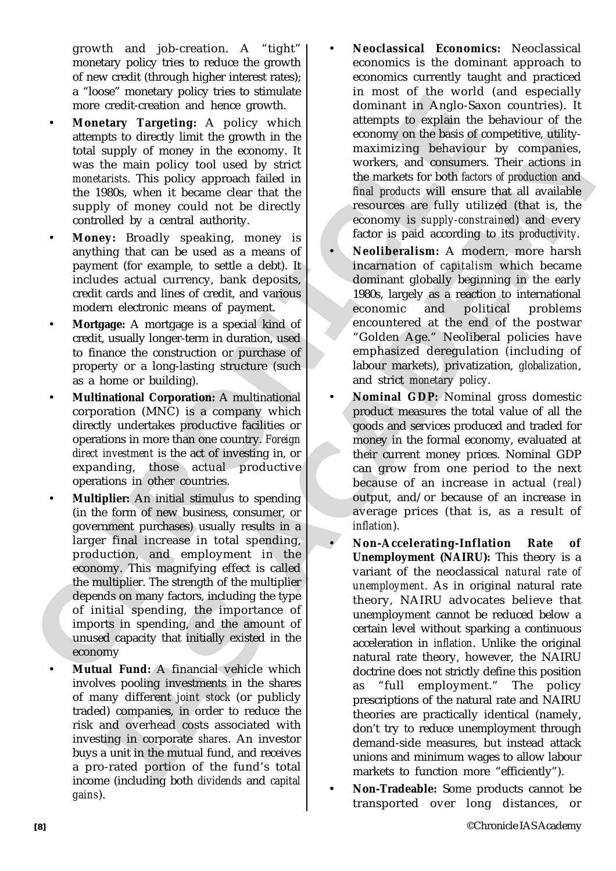growth and job-creation. A "tight" monetary policy tries to reduce the growth of new credit (through higher interest rates); a "loose" monetary policy tries to stimulate more credit-creation and hence growth.

- **Monetary Targeting:** A policy which attempts to directly limit the growth in the total supply of money in the economy. It was the main policy tool used by strict *monetarists*. This policy approach failed in the 1980s, when it became clear that the supply of money could not be directly controlled by a central authority.
- **Money:** Broadly speaking, money is anything that can be used as a means of payment (for example, to settle a debt). It includes actual currency, bank deposits, credit cards and lines of credit, and various modern electronic means of payment.
- **Mortgage:** A mortgage is a special kind of credit, usually longer-term in duration, used to finance the construction or purchase of property or a long-lasting structure (such as a home or building).
- **Multinational Corporation:** A multinational corporation (MNC) is a company which directly undertakes productive facilities or operations in more than one country. *Foreign direct investment* is the act of investing in, or expanding, those actual productive operations in other countries.
- more credit creation and hence growth.<br>
Monshar for Anglo Sax Monstery Targeting: A policy which is attempt to directly limit the growth.<br>
attempt of decreasing the contour of the contour of the state at the state at the • **Multiplier:** An initial stimulus to spending (in the form of new business, consumer, or government purchases) usually results in a larger final increase in total spending, production, and employment in the economy. This magnifying effect is called the multiplier. The strength of the multiplier depends on many factors, including the type of initial spending, the importance of imports in spending, and the amount of unused capacity that initially existed in the economy
	- **Mutual Fund:** A financial vehicle which involves pooling investments in the shares of many different *joint stock* (or publicly traded) companies, in order to reduce the risk and overhead costs associated with investing in corporate *shares*. An investor buys a unit in the mutual fund, and receives a pro-rated portion of the fund's total income (including both *dividends* and *capital gains*).
- **Neoclassical Economics:** Neoclassical economics is the dominant approach to economics currently taught and practiced in most of the world (and especially dominant in Anglo-Saxon countries). It attempts to explain the behaviour of the economy on the basis of competitive, utilitymaximizing behaviour by companies, workers, and consumers. Their actions in the markets for both *factors of production* and *final products* will ensure that all available resources are fully utilized (that is, the economy is *supply-constrained*) and every factor is paid according to its *productivity*.
- **Neoliberalism:** A modern, more harsh incarnation of *capitalism* which became dominant globally beginning in the early 1980s, largely as a reaction to international economic and political problems encountered at the end of the postwar "Golden Age." Neoliberal policies have emphasized deregulation (including of labour markets), privatization, *globalization*, and strict *monetary policy*.
- **Nominal GDP:** Nominal gross domestic product measures the total value of all the goods and services produced and traded for money in the formal economy, evaluated at their current money prices. Nominal GDP can grow from one period to the next because of an increase in actual (*real*) output, and/or because of an increase in average prices (that is, as a result of *inflation*).
- The *b* and the main point in the main that is a solution of the set of computive different in the control of the main point in the main point of the main point of the main point in the main point of the main point of the • **Non-Accelerating-Inflation Rate of Unemployment (NAIRU):** This theory is a variant of the neoclassical *natural rate of unemployment*. As in original natural rate theory, NAIRU advocates believe that unemployment cannot be reduced below a certain level without sparking a continuous acceleration in *inflation*. Unlike the original natural rate theory, however, the NAIRU doctrine does not strictly define this position as "full employment." The policy prescriptions of the natural rate and NAIRU theories are practically identical (namely, don't try to reduce unemployment through demand-side measures, but instead attack unions and minimum wages to allow labour markets to function more "efficiently").
	- **Non-Tradeable:** Some products cannot be transported over long distances, or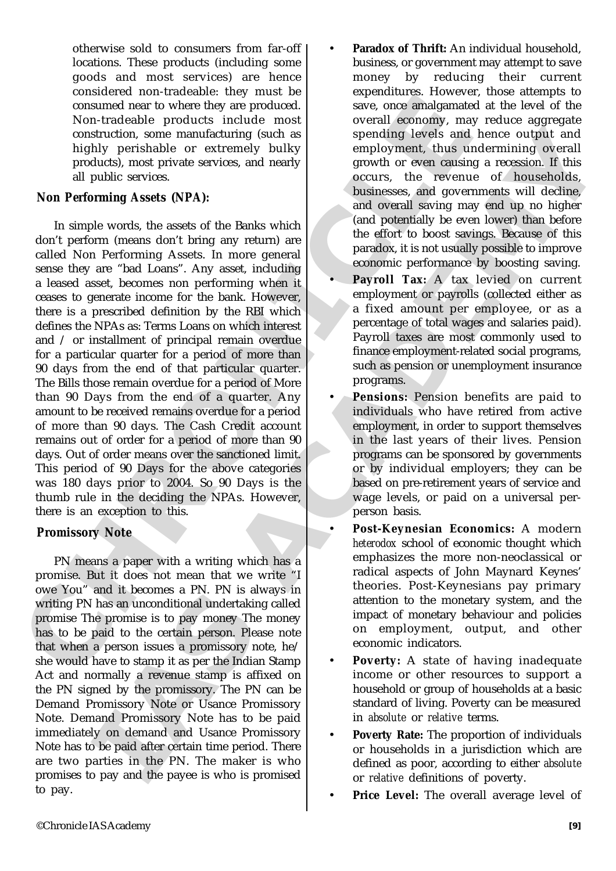otherwise sold to consumers from far-off locations. These products (including some goods and most services) are hence considered non-tradeable: they must be consumed near to where they are produced. Non-tradeable products include most construction, some manufacturing (such as highly perishable or extremely bulky products), most private services, and nearly all public services.

## *Non Performing Assets (NPA):*

consumed near to where they are produced and<br>consumed near to where they are produced and to several economy, may<br>construction, some monutaduring (such as<br>well expose the system of the products) interferible proteins of t struction, some manufacturing (such as<br>
such a spending levels and hence ourigin and hence ourigin and hence our<br>structure and hence the structure of the structure of the structure of the<br>diatory, mean public services. Th In simple words, the assets of the Banks which don't perform (means don't bring any return) are called Non Performing Assets. In more general sense they are "bad Loans". Any asset, including a leased asset, becomes non performing when it ceases to generate income for the bank. However, there is a prescribed definition by the RBI which defines the NPAs as: Terms Loans on which interest and / or installment of principal remain overdue for a particular quarter for a period of more than 90 days from the end of that particular quarter. The Bills those remain overdue for a period of More than 90 Days from the end of a quarter. Any amount to be received remains overdue for a period of more than 90 days. The Cash Credit account remains out of order for a period of more than 90 days. Out of order means over the sanctioned limit. This period of 90 Days for the above categories was 180 days prior to 2004. So 90 Days is the thumb rule in the deciding the NPAs. However, there is an exception to this.

## *Promissory Note*

PN means a paper with a writing which has a promise. But it does not mean that we write "I owe You" and it becomes a PN. PN is always in writing PN has an unconditional undertaking called promise The promise is to pay money The money has to be paid to the certain person. Please note that when a person issues a promissory note, he/ she would have to stamp it as per the Indian Stamp Act and normally a revenue stamp is affixed on the PN signed by the promissory. The PN can be Demand Promissory Note or Usance Promissory Note. Demand Promissory Note has to be paid immediately on demand and Usance Promissory Note has to be paid after certain time period. There are two parties in the PN. The maker is who promises to pay and the payee is who is promised to pay.

- **Paradox of Thrift:** An individual household, business, or government may attempt to save money by reducing their current expenditures. However, those attempts to save, once amalgamated at the level of the overall economy, may reduce aggregate spending levels and hence output and employment, thus undermining overall growth or even causing a recession. If this occurs, the revenue of households, businesses, and governments will decline, and overall saving may end up no higher (and potentially be even lower) than before the effort to boost savings. Because of this paradox, it is not usually possible to improve economic performance by boosting saving.
- **Payroll Tax:** A tax levied on current employment or payrolls (collected either as a fixed amount per employee, or as a percentage of total wages and salaries paid). Payroll taxes are most commonly used to finance employment-related social programs, such as pension or unemployment insurance programs.
- **Pensions:** Pension benefits are paid to individuals who have retired from active employment, in order to support themselves in the last years of their lives. Pension programs can be sponsored by governments or by individual employers; they can be based on pre-retirement years of service and wage levels, or paid on a universal perperson basis.
- **Post-Keynesian Economics:** A modern *heterodox* school of economic thought which emphasizes the more non-neoclassical or radical aspects of John Maynard Keynes' theories. Post-Keynesians pay primary attention to the monetary system, and the impact of monetary behaviour and policies on employment, output, and other economic indicators.
- **Poverty:** A state of having inadequate income or other resources to support a household or group of households at a basic standard of living. Poverty can be measured in *absolute* or *relative* terms.
- **Poverty Rate:** The proportion of individuals or households in a jurisdiction which are defined as poor, according to either *absolute* or *relative* definitions of poverty.
- **Price Level:** The overall average level of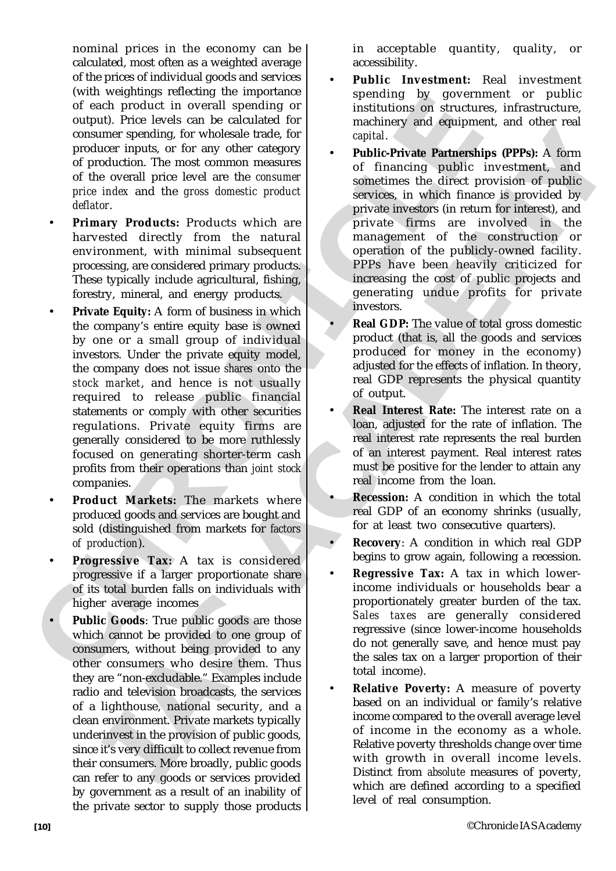nominal prices in the economy can be calculated, most often as a weighted average of the prices of individual goods and services (with weightings reflecting the importance of each product in overall spending or output). Price levels can be calculated for consumer spending, for wholesale trade, for producer inputs, or for any other category of production. The most common measures of the overall price level are the *consumer price index* and the *gross domestic product deflator*.

- **Primary Products:** Products which are harvested directly from the natural environment, with minimal subsequent processing, are considered primary products. These typically include agricultural, fishing, forestry, mineral, and energy products.
- of each product in overall spending or previously product on the secure of each product in overall spending or institutions on structure our<br>summer spending for the case of machinery and equipme products in<br>product in cas • **Private Equity:** A form of business in which the company's entire equity base is owned by one or a small group of individual investors. Under the private equity model, the company does not issue *shares* onto the *stock market*, and hence is not usually required to release public financial statements or comply with other securities regulations. Private equity firms are generally considered to be more ruthlessly focused on generating shorter-term cash profits from their operations than *joint stock* companies.
	- **Product Markets:** The markets where produced goods and services are bought and sold (distinguished from markets for *factors of production*).
	- **Progressive Tax:** A tax is considered progressive if a larger proportionate share of its total burden falls on individuals with higher average incomes
	- **Public Goods**: True public goods are those which cannot be provided to one group of consumers, without being provided to any other consumers who desire them. Thus they are "non-excludable." Examples include radio and television broadcasts, the services of a lighthouse, national security, and a clean environment. Private markets typically underinvest in the provision of public goods, since it's very difficult to collect revenue from their consumers. More broadly, public goods can refer to any goods or services provided by government as a result of an inability of the private sector to supply those products

in acceptable quantity, quality, or accessibility.

- **Public Investment:** Real investment spending by government or public institutions on structures, infrastructure, machinery and equipment, and other real *capital*.
- me spending, for wholesal trade for  $\alpha$ <br>increases the angular care applies and one and the material increases of the material increases of the material increases of the material increases of the material increases of the • **Public-Private Partnerships (PPPs):** A form of financing public investment, and sometimes the direct provision of public services, in which finance is provided by private investors (in return for interest), and private firms are involved in the management of the construction or operation of the publicly-owned facility. PPPs have been heavily criticized for increasing the cost of public projects and generating undue profits for private investors.
	- **Real GDP:** The value of total gross domestic product (that is, all the goods and services produced for money in the economy) adjusted for the effects of inflation. In theory, real GDP represents the physical quantity of output.
	- **Real Interest Rate:** The interest rate on a loan, adjusted for the rate of inflation. The real interest rate represents the real burden of an interest payment. Real interest rates must be positive for the lender to attain any real income from the loan.
	- **Recession:** A condition in which the total real GDP of an economy shrinks (usually, for at least two consecutive quarters).
	- **Recovery:** A condition in which real GDP begins to grow again, following a recession.
	- **Regressive Tax:** A tax in which lowerincome individuals or households bear a proportionately greater burden of the tax. *Sales taxes* are generally considered regressive (since lower-income households do not generally save, and hence must pay the sales tax on a larger proportion of their total income).
	- **Relative Poverty:** A measure of poverty based on an individual or family's relative income compared to the overall average level of income in the economy as a whole. Relative poverty thresholds change over time with growth in overall income levels. Distinct from *absolute* measures of poverty, which are defined according to a specified level of real consumption.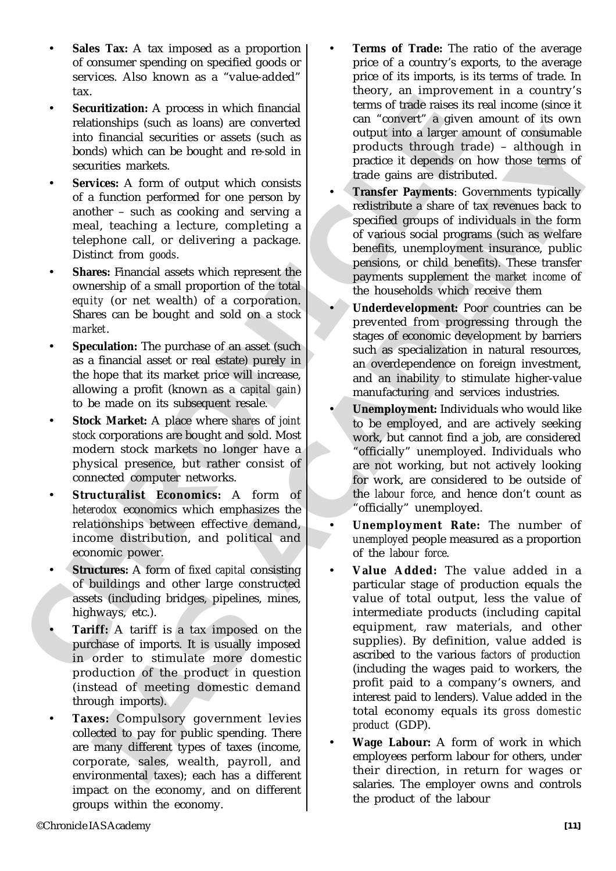- **Sales Tax:** A tax imposed as a proportion of consumer spending on specified goods or services. Also known as a "value-added" tax.
- Securitization: A process in which financial relationships (such as loans) are converted into financial securities or assets (such as bonds) which can be bought and re-sold in securities markets.
- Example the based model in solenoid in the same in the same in the same in the same in the same in the based in the same in the same in the same in the same in the same in the same in the same in the same in the same in t Services: A form of output which consists of a function performed for one person by another – such as cooking and serving a meal, teaching a lecture, completing a telephone call, or delivering a package. Distinct from *goods*.
	- **Shares:** Financial assets which represent the ownership of a small proportion of the total *equity* (or net wealth) of a corporation. Shares can be bought and sold on a *stock market*.
	- Speculation: The purchase of an asset (such as a financial asset or real estate) purely in the hope that its market price will increase, allowing a profit (known as a *capital gain*) to be made on its subsequent resale.
	- **Stock Market:** A place where *shares* of *joint stock* corporations are bought and sold. Most modern stock markets no longer have a physical presence, but rather consist of connected computer networks.
	- **Structuralist Economics:** A form of *heterodox* economics which emphasizes the relationships between effective demand, income distribution, and political and economic power.
	- **Structures:** A form of *fixed capital* consisting of buildings and other large constructed assets (including bridges, pipelines, mines, highways, etc.).
	- **Tariff:** A tariff is a tax imposed on the purchase of imports. It is usually imposed in order to stimulate more domestic production of the product in question (instead of meeting domestic demand through imports).
	- **Taxes:** Compulsory government levies collected to pay for public spending. There are many different types of taxes (income, corporate, sales, wealth, payroll, and environmental taxes); each has a different impact on the economy, and on different groups within the economy.
- **Terms of Trade:** The ratio of the average price of a country's exports, to the average price of its imports, is its terms of trade. In theory, an improvement in a country's terms of trade raises its real income (since it can "convert" a given amount of its own output into a larger amount of consumable products through trade) – although in practice it depends on how those terms of trade gains are distributed.
- **Transfer Payments**: Governments typically redistribute a share of tax revenues back to specified groups of individuals in the form of various social programs (such as welfare benefits, unemployment insurance, public pensions, or child benefits). These transfer payments supplement the *market income* of the households which receive them
- **Underdevelopment:** Poor countries can be prevented from progressing through the stages of economic development by barriers such as specialization in natural resources, an overdependence on foreign investment, and an inability to stimulate higher-value manufacturing and services industries.
- **Unemployment:** Individuals who would like to be employed, and are actively seeking work, but cannot find a job, are considered "officially" unemployed. Individuals who are not working, but not actively looking for work, are considered to be outside of the *labour force*, and hence don't count as "officially" unemployed.
- **Unemployment Rate:** The number of *unemployed* people measured as a proportion of the *labour force*.
- In Barmey bases are considered as a series anomal of expression and consideration of experimental and the product is depends on the product of the state of the state of the state of the state of the state of the state of • **Value Added:** The value added in a particular stage of production equals the value of total output, less the value of intermediate products (including capital equipment, raw materials, and other supplies). By definition, value added is ascribed to the various *factors of production* (including the wages paid to workers, the profit paid to a company's owners, and interest paid to lenders). Value added in the total economy equals its *gross domestic product* (GDP).
	- **Wage Labour:** A form of work in which employees perform labour for others, under their direction, in return for wages or salaries. The employer owns and controls the product of the labour